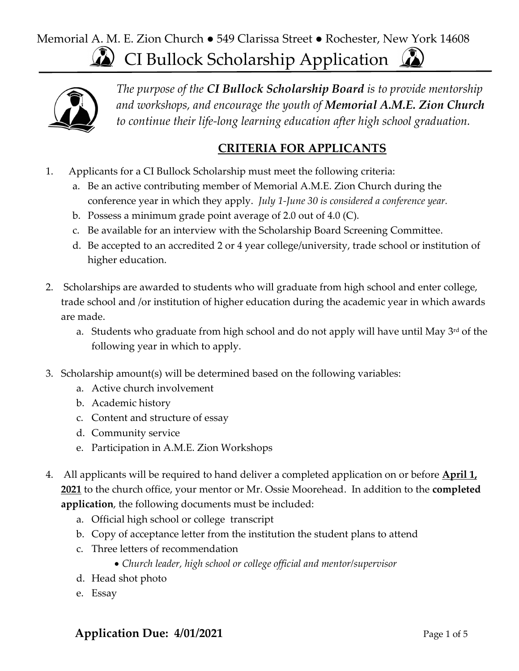# CI Bullock Scholarship Application Memorial A. M. E. Zion Church ● 549 Clarissa Street ● Rochester, New York 14608



*The purpose of the CI Bullock Scholarship Board is to provide mentorship and workshops, and encourage the youth of Memorial A.M.E. Zion Church to continue their life-long learning education after high school graduation.* 

#### **CRITERIA FOR APPLICANTS**

- 1. Applicants for a CI Bullock Scholarship must meet the following criteria:
	- a. Be an active contributing member of Memorial A.M.E. Zion Church during the conference year in which they apply. *July 1-June 30 is considered a conference year.*
	- b. Possess a minimum grade point average of 2.0 out of 4.0 (C).
	- c. Be available for an interview with the Scholarship Board Screening Committee.
	- d. Be accepted to an accredited 2 or 4 year college/university, trade school or institution of higher education.
- 2. Scholarships are awarded to students who will graduate from high school and enter college, trade school and /or institution of higher education during the academic year in which awards are made.
	- a. Students who graduate from high school and do not apply will have until May 3<sup>rd</sup> of the following year in which to apply.
- 3. Scholarship amount(s) will be determined based on the following variables:
	- a. Active church involvement
	- b. Academic history
	- c. Content and structure of essay
	- d. Community service
	- e. Participation in A.M.E. Zion Workshops
- 4. All applicants will be required to hand deliver a completed application on or before **April 1, 2021** to the church office, your mentor or Mr. Ossie Moorehead. In addition to the **completed application**, the following documents must be included:
	- a. Official high school or college transcript
	- b. Copy of acceptance letter from the institution the student plans to attend
	- c. Three letters of recommendation
		- *Church leader, high school or college official and mentor/supervisor*
	- d. Head shot photo
	- e. Essay

### **Application Due: 4/01/2021** Page 1 of 5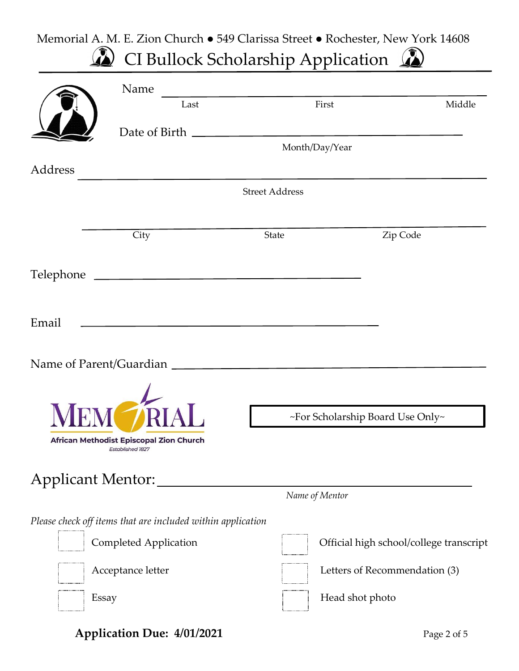#### Memorial A. M. E. Zion Church ● 549 Clarissa Street ● Rochester, New York 14608 CI Bullock Scholarship Application  $\Omega$

|           | Name                                                        |                       |                                         |
|-----------|-------------------------------------------------------------|-----------------------|-----------------------------------------|
|           | Last                                                        | First                 | Middle                                  |
|           |                                                             |                       |                                         |
|           |                                                             | Month/Day/Year        |                                         |
| Address   |                                                             |                       |                                         |
|           |                                                             | <b>Street Address</b> |                                         |
|           |                                                             |                       |                                         |
|           | City                                                        | State                 | Zip Code                                |
| Telephone |                                                             |                       |                                         |
|           |                                                             |                       |                                         |
| Email     |                                                             |                       |                                         |
|           |                                                             |                       |                                         |
|           |                                                             |                       |                                         |
|           |                                                             |                       |                                         |
|           |                                                             |                       | ~For Scholarship Board Use Only~        |
|           | African Methodist Episcopal Zion Church                     |                       |                                         |
|           | <b>Established 1827</b>                                     |                       |                                         |
|           | Applicant Mentor:                                           |                       |                                         |
|           |                                                             | Name of Mentor        |                                         |
|           | Please check off items that are included within application |                       |                                         |
|           | <b>Completed Application</b>                                |                       | Official high school/college transcript |
|           | Acceptance letter                                           |                       | Letters of Recommendation (3)           |
|           | Essay                                                       | Head shot photo       |                                         |
|           |                                                             |                       |                                         |

**Application Due: 4/01/2021** Page 2 of 5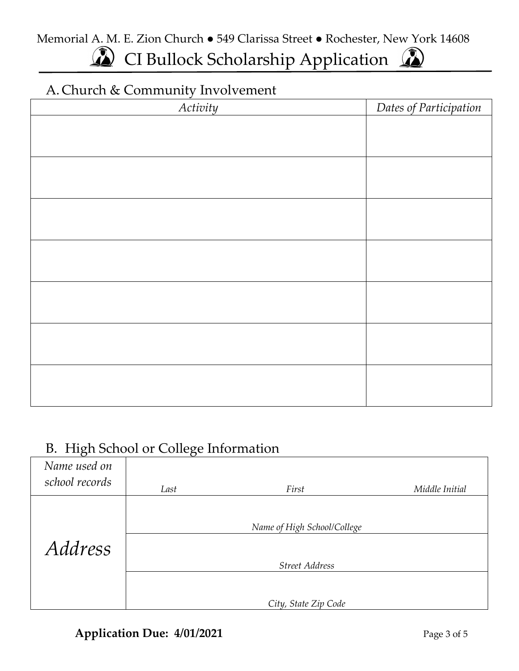Memorial A. M. E. Zion Church ● 549 Clarissa Street ● Rochester, New York 14608

# CI Bullock Scholarship Application

### A. Church & Community Involvement

| Activity | Dates of Participation |
|----------|------------------------|
|          |                        |
|          |                        |
|          |                        |
|          |                        |
|          |                        |
|          |                        |
|          |                        |
|          |                        |
|          |                        |
|          |                        |
|          |                        |
|          |                        |
|          |                        |
|          |                        |
|          |                        |
|          |                        |
|          |                        |

### B. High School or College Information

| Name used on<br>school records |      |                             |                |
|--------------------------------|------|-----------------------------|----------------|
|                                | Last | First                       | Middle Initial |
|                                |      | Name of High School/College |                |
|                                |      |                             |                |
| <i>Address</i>                 |      |                             |                |
|                                |      | <b>Street Address</b>       |                |
|                                |      |                             |                |
|                                |      | City, State Zip Code        |                |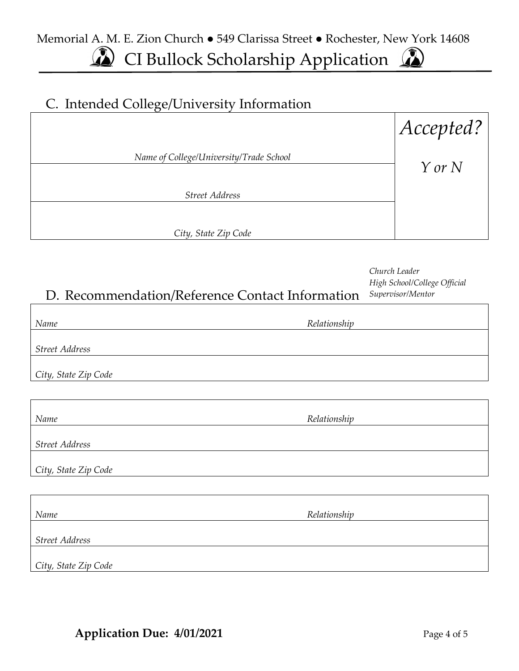Memorial A. M. E. Zion Church ● 549 Clarissa Street ● Rochester, New York 14608  $\Omega$ 

CI Bullock Scholarship Application

### C. Intended College/University Information

|                                         | Accepted?  |
|-----------------------------------------|------------|
| Name of College/University/Trade School | $Y$ or $N$ |
| <b>Street Address</b>                   |            |
| City, State Zip Code                    |            |

| D. Recommendation/Reference Contact Information |              | Church Leader<br>High School/College Official<br>Supervisor/Mentor |
|-------------------------------------------------|--------------|--------------------------------------------------------------------|
| Name                                            | Relationship |                                                                    |
| <b>Street Address</b>                           |              |                                                                    |
| City, State Zip Code                            |              |                                                                    |
|                                                 |              |                                                                    |
| Name                                            | Relationship |                                                                    |
| <b>Street Address</b>                           |              |                                                                    |
| City, State Zip Code                            |              |                                                                    |

| Name                 | Relationship |  |
|----------------------|--------------|--|
| Street Address       |              |  |
| City, State Zip Code |              |  |